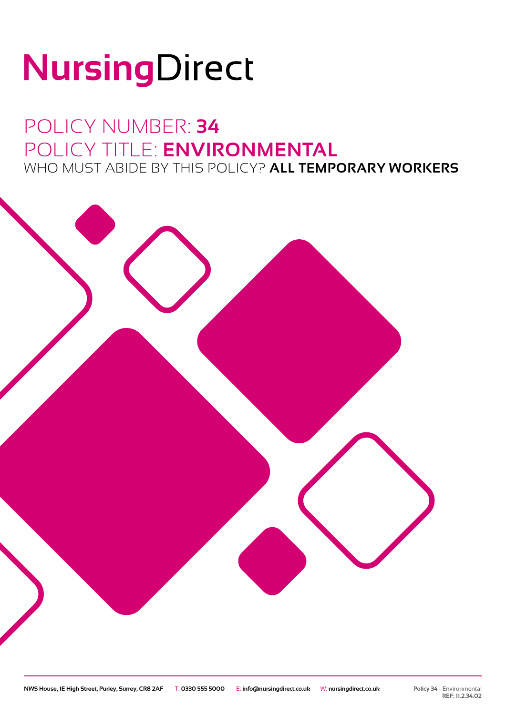# NursingDirect

## POLICY NUMBER: **34** POLICY TITLE: **ENVIRONMENTAL** WHO MUST ABIDE BY THIS POLICY? **ALL TEMPORARY WORKERS**